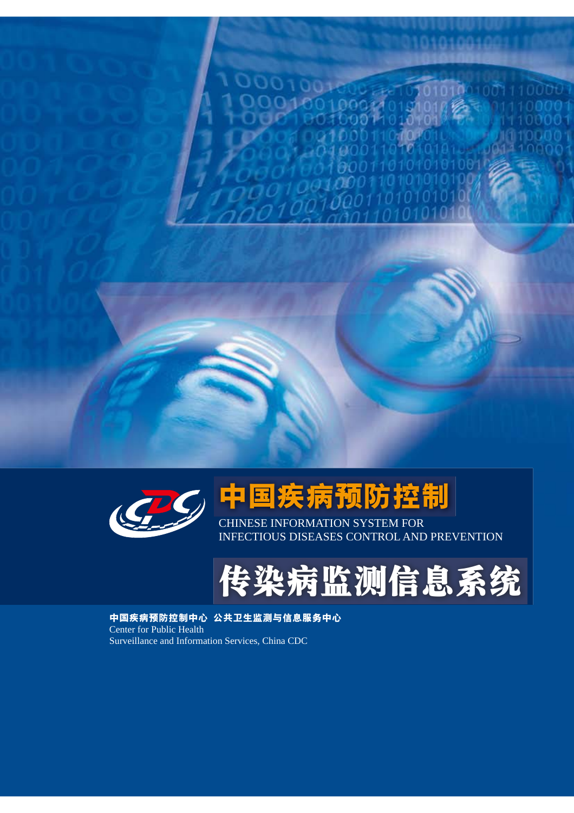

# 中国疾病预防控制

CHINESE INFORMATION SYSTEM FOR **INFECTIOUS DISEASES CONTROL AND PREVENTION** 

# 传染病监测信息系统

中国疾病预防控制中心 公共卫生监测与信息服务中心 Center for Public Health Surveillance and Information Services, China CDC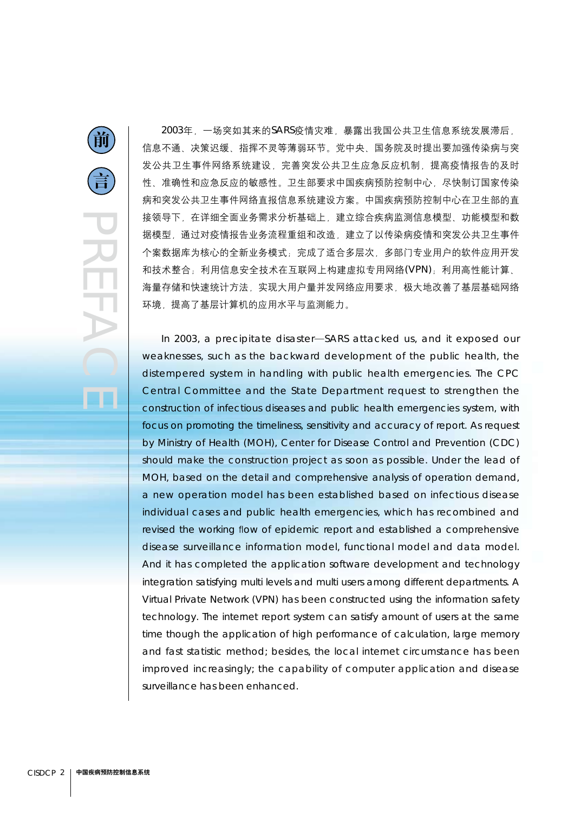2003年,一场突如其来的SARS疫情灾难,暴露出我国公共卫生信息系统发展滞后, 信息不通、决策迟缓、指挥不灵等薄弱环节。党中央、国务院及时提出要加强传染病与突 发公共卫生事件网络系统建设,完善突发公共卫生应急反应机制,提高疫情报告的及时 性、准确性和应急反应的敏感性。卫生部要求中国疾病预防控制中心,尽快制订国家传染 病和突发公共卫生事件网络直报信息系统建设方案。中国疾病预防控制中心在卫生部的直 接领导下,在详细全面业务需求分析基础上,建立综合疾病监测信息模型、功能模型和数 据模型,通过对疫情报告业务流程重组和改造,建立了以传染病疫情和突发公共卫生事件 个案数据库为核心的全新业务模式;完成了适合多层次,多部门专业用户的软件应用开发 和技术整合;利用信息安全技术在互联网上构建虚拟专用网络(VPN);利用高性能计算、 海量存储和快速统计方法,实现大用户量并发网络应用要求,极大地改善了基层基础网络 环境, 提高了基层计算机的应用水平与监测能力。

In 2003, a precipitate disaster-SARS attacked us, and it exposed our weaknesses, such as the backward development of the public health, the distempered system in handling with public health emergencies. The CPC Central Committee and the State Department request to strengthen the construction of infectious diseases and public health emergencies system, with focus on promoting the timeliness, sensitivity and accuracy of report. As request by Ministry of Health (MOH), Center for Disease Control and Prevention (CDC) should make the construction project as soon as possible. Under the lead of MOH, based on the detail and comprehensive analysis of operation demand, a new operation model has been established based on infectious disease individual cases and public health emergencies, which has recombined and revised the working flow of epidemic report and established a comprehensive disease surveillance information model, functional model and data model. And it has completed the application software development and technology integration satisfying multi levels and multi users among different departments. A Virtual Private Network (VPN) has been constructed using the information safety technology. The internet report system can satisfy amount of users at the same time though the application of high performance of calculation, large memory and fast statistic method; besides, the local internet circumstance has been improved increasingly; the capability of computer application and disease surveillance has been enhanced.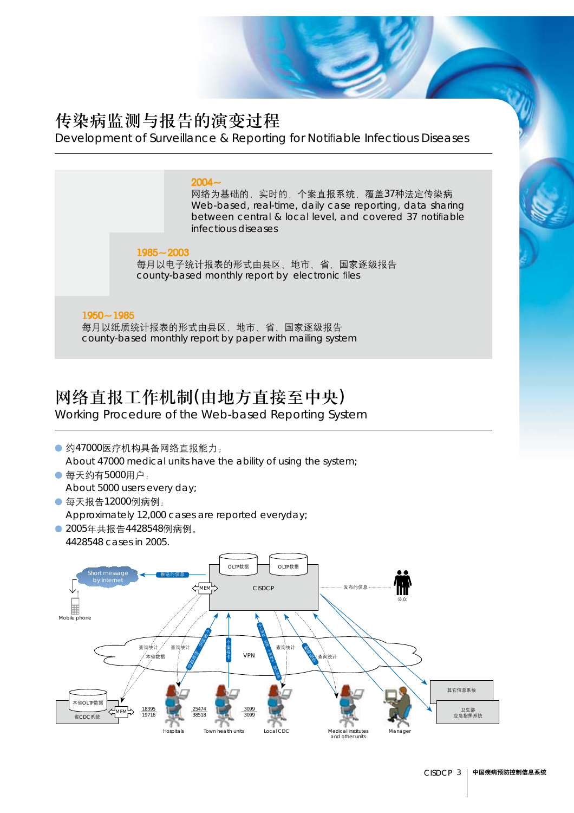#### 传染病监测与报告的演变过程

Development of Surveillance & Reporting for Notifiable Infectious Diseases

#### $2004 -$

网络为基础的, 实时的, 个案直报系统, 覆盖37种法定传染病 Web-based, real-time, daily case reporting, data sharing between central & local level, and covered 37 notifiable infectious diseases

 $1985 - 2003$ 每月以电子统计报表的形式由县区、地市、省、国家逐级报告 county-based monthly report by electronic files

#### $1950 - 1985$

每月以纸质统计报表的形式由县区、地市、省、国家逐级报告 county-based monthly report by paper with mailing system

#### 网络直报工作机制(由地方直接至中央)

Working Procedure of the Web-based Reporting System

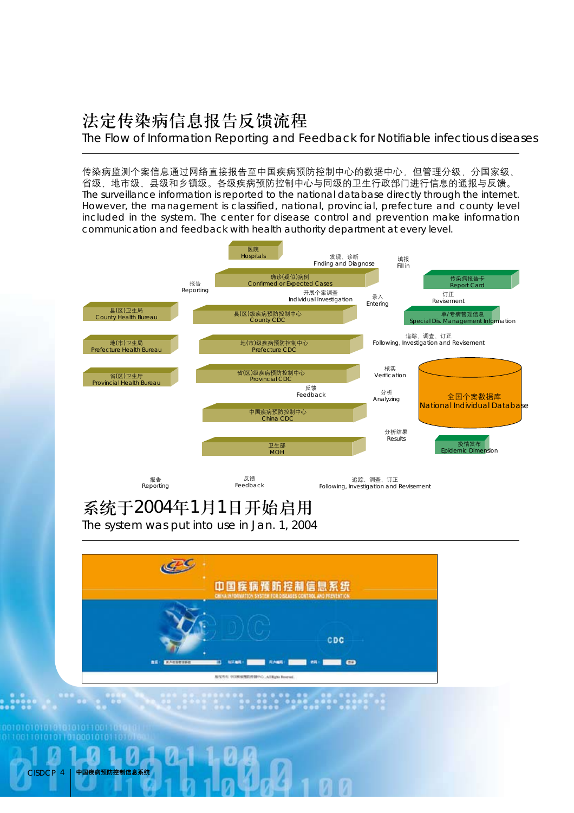### 法定传染病信息报告反馈流程

The Flow of Information Reporting and Feedback for Notifiable infectious diseases

传染病监测个案信息通过网络直接报告至中国疾病预防控制中心的数据中心,但管理分级,分国家级、 省级、地市级、县级和乡镇级。各级疾病预防控制中心与同级的卫生行政部门进行信息的通报与反馈。 The surveillance information is reported to the national database directly through the internet. However, the management is classified, national, provincial, prefecture and county level included in the system. The center for disease control and prevention make information communication and feedback with health authority department at every level.



#### 系统于2004年1月1日开始启用

The system was put into use in Jan. 1, 2004

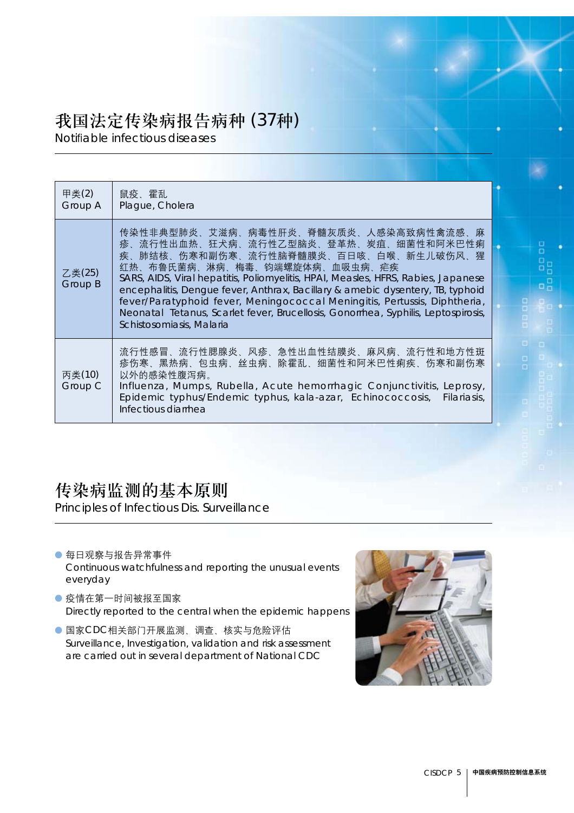#### 我国法定传染病报告病种 (37种)

Notifiable infectious diseases

| 甲类(2)<br>Group A  | 鼠疫、霍乱<br>Plague, Cholera                                                                                                                                                                                                                                                                                                                                                                                                                                                                                                      |
|-------------------|-------------------------------------------------------------------------------------------------------------------------------------------------------------------------------------------------------------------------------------------------------------------------------------------------------------------------------------------------------------------------------------------------------------------------------------------------------------------------------------------------------------------------------|
| 乙类(25)<br>Group B | 传染性非典型肺炎、艾滋病、病毒性肝炎、脊髓灰质炎、人感染高致病性禽流感、麻<br>疹、流行性出血热、狂犬病、流行性乙型脑炎、登革热、炭疽、细菌性和阿米巴性痢<br>疾、肺结核、伤寒和副伤寒、流行性脑脊髓膜炎、百日咳、白喉、新生儿破伤风、猩<br>红热、布鲁氏菌病、淋病、梅毒、钧端螺旋体病、血吸虫病、疟疾<br>SARS, AIDS, Viral hepatitis, Poliomyelitis, HPAI, Measles, HFRS, Rabies, Japanese<br>encephalitis, Dengue fever, Anthrax, Bacillary & amebic dysentery, TB, typhoid<br>fever/Paratyphoid fever, Meningococcal Meningitis, Pertussis, Diphtheria,<br>Neonatal Tetanus, Scarlet fever, Brucellosis, Gonorrhea, Syphilis, Leptospirosis,<br>Schistosomiasis, Malaria |
| 丙类(10)<br>Group C | 流行性感冒、流行性腮腺炎、风疹、急性出血性结膜炎、麻风病、流行性和地方性斑<br>疹伤寒、黑热病、包虫病、丝虫病、除霍乱、细菌性和阿米巴性痢疾、伤寒和副伤寒<br>以外的感染性腹泻病。<br>Influenza, Mumps, Rubella, Acute hemorrhagic Conjunctivitis, Leprosy,<br>Epidemic typhus/Endemic typhus, kala-azar, Echinococcosis, Filariasis,<br>Infectious diarrhea                                                                                                                                                                                                                                                        |

#### 传染病监测的基本原则

Principles of Infectious Dis. Surveillance

● 每日观察与报告异常事件

Continuous watchfulness and reporting the unusual events everyday

- 疫情在第一时间被报至国家 Directly reported to the central when the epidemic happens
- 国家CDC相关部门开展监测、调查、核实与危险评估 Surveillance, Investigation, validation and risk assessment are carried out in several department of National CDC

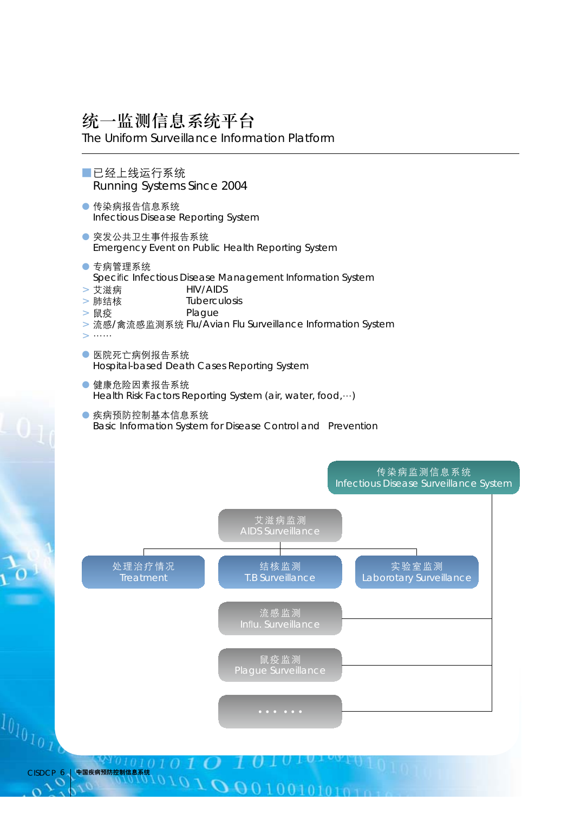#### 统一监测信息系统平台

The Uniform Surveillance Information Platform

- **■已经上线运行系统 Running Systems Since 2004**
- 传染病报告信息系统 Infectious Disease Reporting System
- 突发公共卫生事件报告系统 Emergency Event on Public Health Reporting System
- 专病管理系统 Specific Infectious Disease Management Information System
- 艾滋病 **HIV/AIDS**
- Tuberculosis > 肺结核
- Plague > 鼠疫
- > 流感/禽流感监测系统 Flu/Avian Flu Surveillance Information System
- 
- 医院死亡病例报告系统 Hospital-based Death Cases Reporting System
- 健康危险因素报告系统 Health Risk Factors Reporting System (air, water, food, ...)
- 疾病预防控制基本信息系统 Basic Information System for Disease Control and Prevention

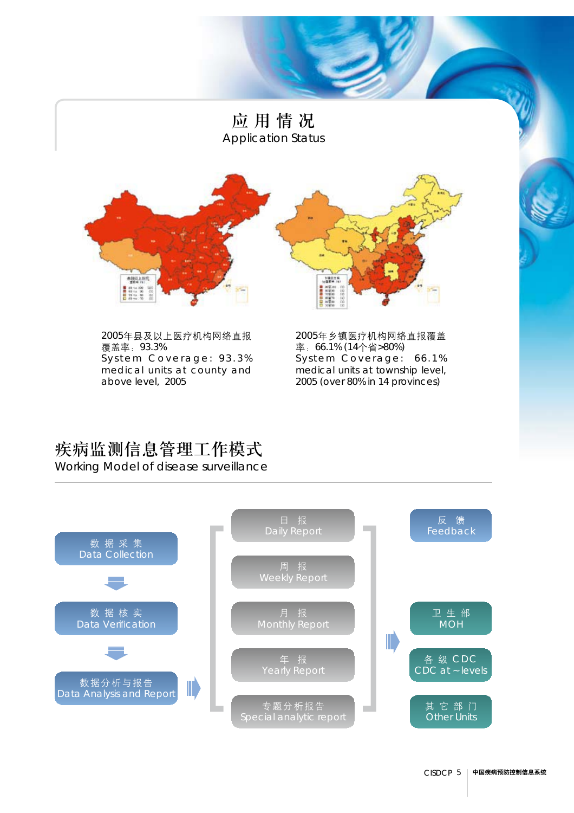# 应用情况 **Application Status** 本<u>社以上所</u>向  $14128$ 1888  $\begin{tabular}{|c|c|} \hline \multicolumn{1}{|c|}{\multicolumn{1}{|c|}{\multicolumn{1}{|c|}{\multicolumn{1}{|c|}{\multicolumn{1}{|c|}{\multicolumn{1}{|c|}{\multicolumn{1}{|c|}{\multicolumn{1}{|c|}{\multicolumn{1}{|c|}{\multicolumn{1}{|c|}{\multicolumn{1}{|c|}{\multicolumn{1}{|c|}{\multicolumn{1}{|c|}{\multicolumn{1}{|c|}{\multicolumn{1}{|c|}{\multicolumn{1}{|c|}{\multicolumn{1}{|c|}{\multicolumn{1}{|c|}{\multicolumn{1}{$

2005年县及以上医疗机构网络直报 覆盖率: 93.3% System Coverage: 93.3% medical units at county and above level, 2005

2005年乡镇医疗机构网络直报覆盖 率: 66.1% (14个省>80%) System Coverage: 66.1% medical units at township level, 2005 (over 80% in 14 provinces)

#### 疾病监测信息管理工作模式

Working Model of disease surveillance

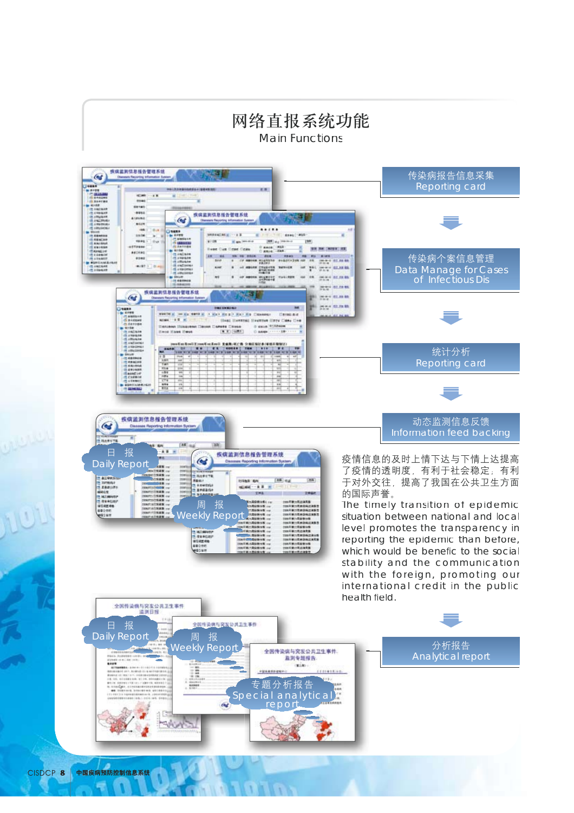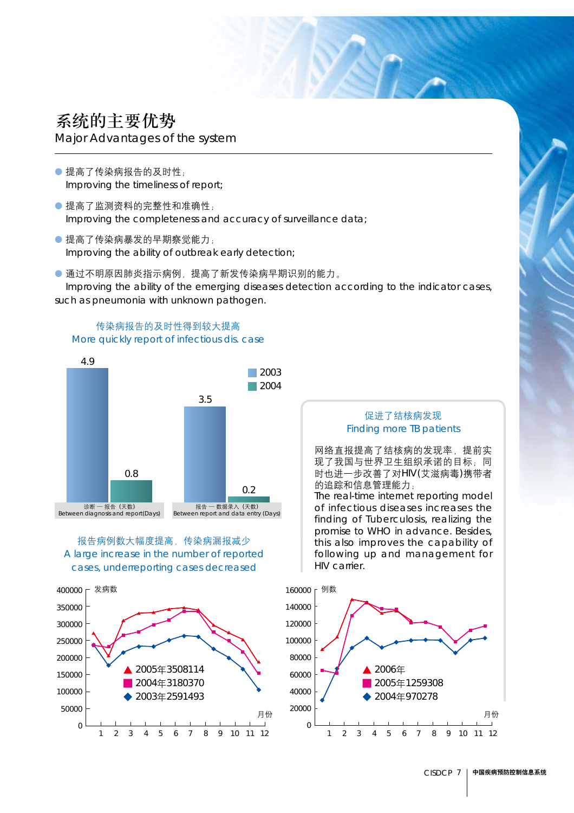## 系统的主要优势

Major Advantages of the system

- 提高了传染病报告的及时性: Improving the timeliness of report;
- 提高了监测资料的完整性和准确性: Improving the completeness and accuracy of surveillance data;
- 提高了传染病暴发的早期察觉能力: Improving the ability of outbreak early detection;

● 通过不明原因肺炎指示病例, 提高了新发传染病早期识别的能力。 Improving the ability of the emerging diseases detection according to the indicator cases, such as pneumonia with unknown pathogen.





报告病例数大幅度提高,传染病漏报减少 A large increase in the number of reported cases, underreporting cases decreased



#### 促进了结核病发现 **Finding more TB patients**

网络直报提高了结核病的发现率 提前实 现了我国与世界卫生组织承诺的目标:同 时也进一步改善了对HIV(艾滋病毒)携带者 的追踪和信息管理能力:

The real-time internet reporting model of infectious diseases increases the finding of Tuberculosis, realizing the promise to WHO in advance. Besides, this also improves the capability of following up and management for HIV carrier.

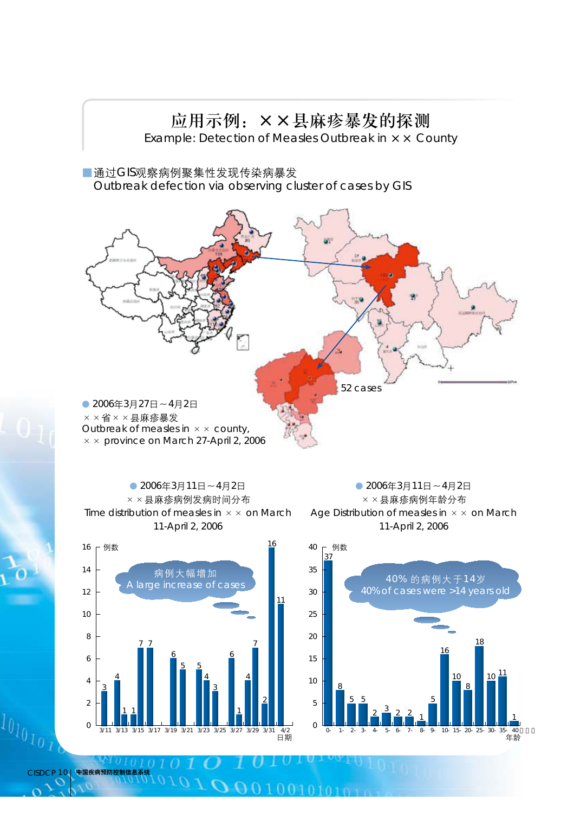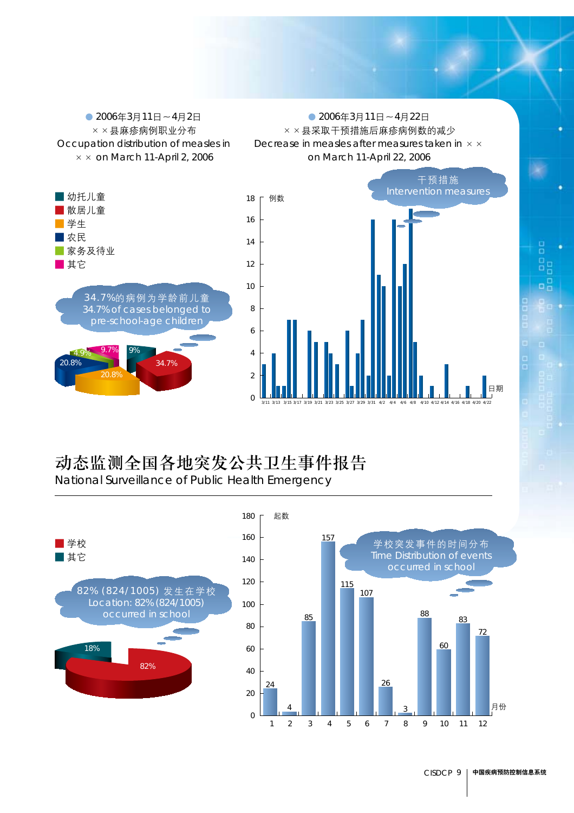$\bigcirc$  2006年3月11日~4月2日  $\times$  × 县麻疹病例职业分布 Occupation distribution of measles in  $\times \times$  on March 11-April 2, 2006

 $\bigcirc$  2006年3月11日~4月22日 × × 县采取干预措施后麻疹病例数的减少 Decrease in measles after measures taken in  $\times$   $\times$ on March 11-April 22, 2006





## 动态监测全国各地突发公共卫生事件报告

National Surveillance of Public Health Emergency

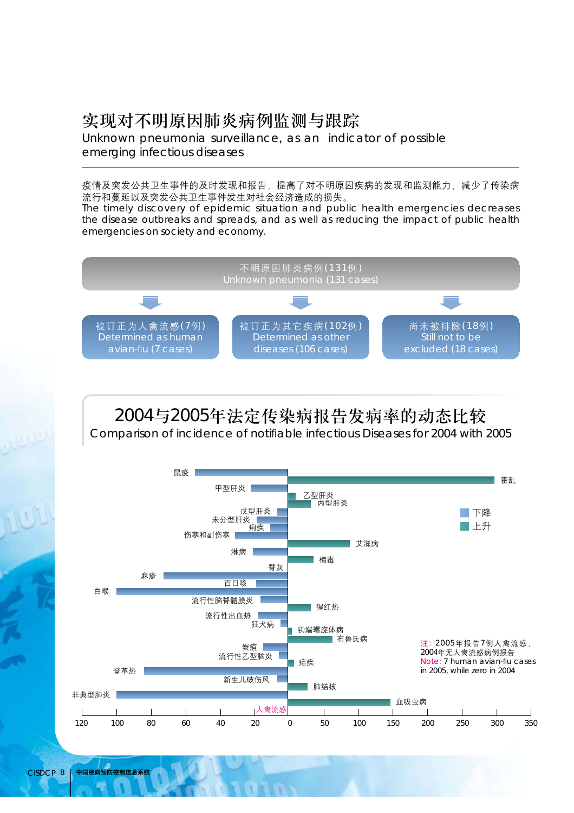#### 实现对不明原因肺炎病例监测与跟踪

Unknown pneumonia surveillance, as an indicator of possible emerging infectious diseases

疫情及突发公共卫生事件的及时发现和报告,提高了对不明原因疾病的发现和监测能力,减少了传染病 流行和蔓延以及突发公共卫生事件发生对社会经济造成的损失。

The timely discovery of epidemic situation and public health emergencies decreases the disease outbreaks and spreads, and as well as reducing the impact of public health emergencies on society and economy.



### 2004与2005年法定传染病报告发病率的动态比较

Comparison of incidence of notifiable infectious Diseases for 2004 with 2005

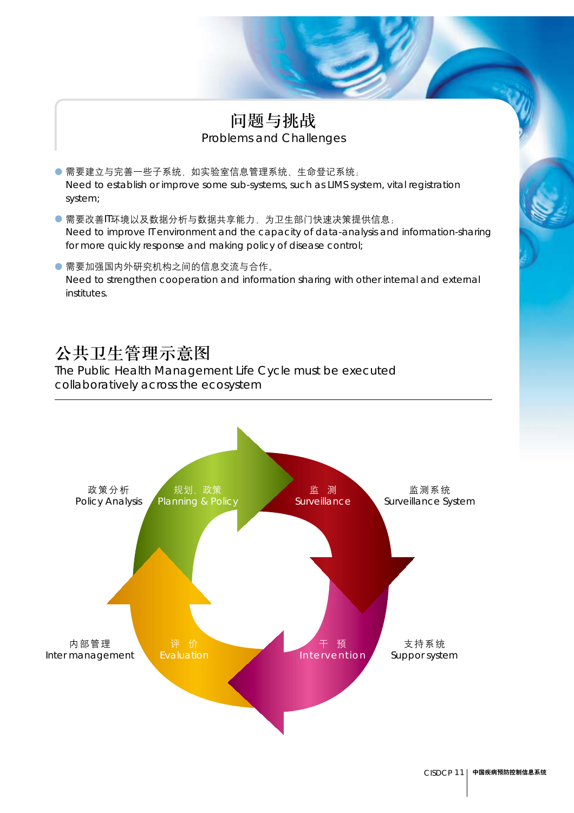#### 问题与挑战 **Problems and Challenges**

- 需要建立与完善一些子系统, 如实验室信息管理系统、生命登记系统;  $\bullet$ Need to establish or improve some sub-systems, such as LIMS system, vital registration system;
- 需要改善IT环境以及数据分析与数据共享能力, 为卫生部门快速决策提供信息; Need to improve IT environment and the capacity of data-analysis and information-sharing for more quickly response and making policy of disease control;
- 需要加强国内外研究机构之间的信息交流与合作。 Need to strengthen cooperation and information sharing with other internal and external institutes

#### 公共卫生管理示意图

The Public Health Management Life Cycle must be executed collaboratively across the ecosystem

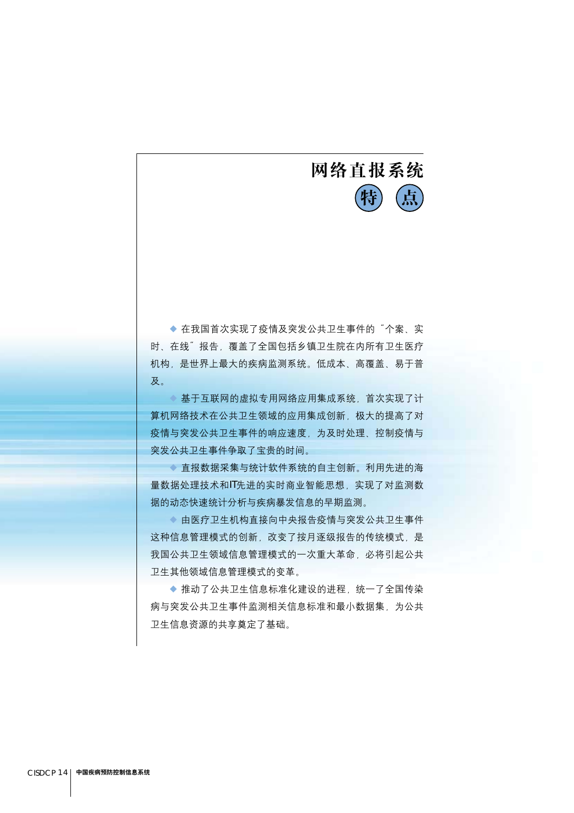## 网络直报系统 生

◆ 在我国首次实现了疫情及突发公共卫生事件的"个案、实 时、在线"报告、覆盖了全国包括乡镇卫生院在内所有卫生医疗 机构,是世界上最大的疾病监测系统。低成本、高覆盖、易于普 及。

◆ 基于互联网的虚拟专用网络应用集成系统, 首次实现了计 算机网络技术在公共卫生领域的应用集成创新, 极大的提高了对 疫情与突发公共卫生事件的响应速度、为及时处理、控制疫情与 突发公共卫生事件争取了宝贵的时间。

◆ 直报数据采集与统计软件系统的自主创新。利用先进的海 量数据处理技术和IT先进的实时商业智能思想,实现了对监测数 据的动态快速统计分析与疾病暴发信息的早期监测。

◆ 由医疗卫生机构直接向中央报告疫情与突发公共卫生事件 这种信息管理模式的创新,改变了按月逐级报告的传统模式,是 我国公共卫生领域信息管理模式的一次重大革命, 必将引起公共 卫生其他领域信息管理模式的变革。

◆ 推动了公共卫生信息标准化建设的进程, 统一了全国传染 病与突发公共卫生事件监测相关信息标准和最小数据集,为公共 卫生信息资源的共享奠定了基础。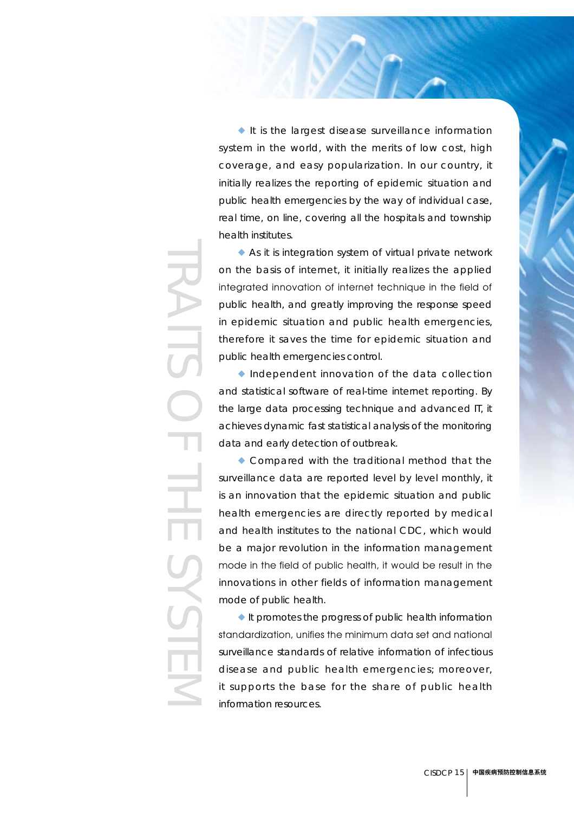$\blacklozenge$  It is the largest disease surveillance information system in the world, with the merits of low cost, high coverage, and easy popularization. In our country, it initially realizes the reporting of epidemic situation and public health emergencies by the way of individual case, real time, on line, covering all the hospitals and township health institutes.

 $\blacklozenge$  As it is integration system of virtual private network on the basis of internet, it initially realizes the applied integrated innovation of internet technique in the field of public health, and greatly improving the response speed in epidemic situation and public health emergencies, therefore it saves the time for epidemic situation and public health emergencies control.

 $\blacklozenge$  Independent innovation of the data collection and statistical software of real-time internet reporting. By the large data processing technique and advanced IT, it achieves dynamic fast statistical analysis of the monitoring data and early detection of outbreak.

 $\bullet$  Compared with the traditional method that the surveillance data are reported level by level monthly, it is an innovation that the epidemic situation and public health emergencies are directly reported by medical and health institutes to the national CDC, which would be a major revolution in the information management mode in the field of public health, it would be result in the innovations in other fields of information management mode of public health.

 $\blacklozenge$  It promotes the progress of public health information standardization, unifies the minimum data set and national surveillance standards of relative information of infectious disease and public health emergencies; moreover, it supports the base for the share of public health information resources.

# TRAITSOFTHESYSTEM